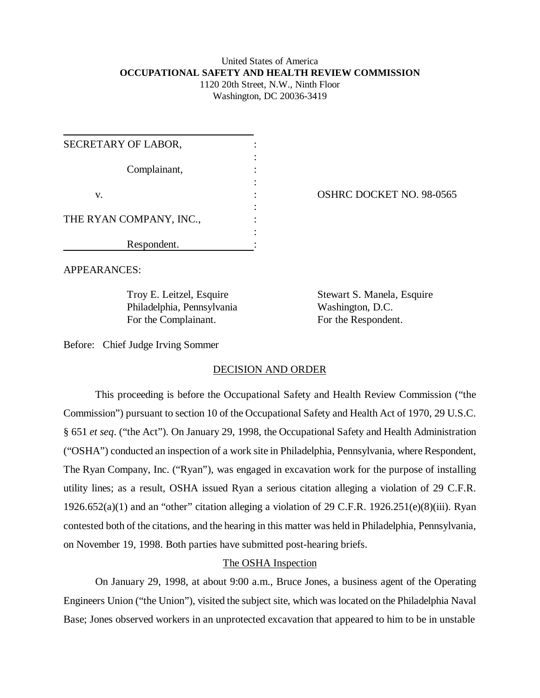# United States of America **OCCUPATIONAL SAFETY AND HEALTH REVIEW COMMISSION** 1120 20th Street, N.W., Ninth Floor

Washington, DC 20036-3419

OSHRC DOCKET NO. 98-0565

APPEARANCES:

Philadelphia, Pennsylvania Washington, D.C. For the Complainant. For the Respondent.

Troy E. Leitzel, Esquire Stewart S. Manela, Esquire

Before: Chief Judge Irving Sommer

# DECISION AND ORDER

This proceeding is before the Occupational Safety and Health Review Commission ("the Commission") pursuant to section 10 of the Occupational Safety and Health Act of 1970, 29 U.S.C. § 651 *et seq*. ("the Act"). On January 29, 1998, the Occupational Safety and Health Administration ("OSHA") conducted an inspection of a work site in Philadelphia, Pennsylvania, where Respondent, The Ryan Company, Inc. ("Ryan"), was engaged in excavation work for the purpose of installing utility lines; as a result, OSHA issued Ryan a serious citation alleging a violation of 29 C.F.R. 1926.652(a)(1) and an "other" citation alleging a violation of 29 C.F.R. 1926.251(e)(8)(iii). Ryan contested both of the citations, and the hearing in this matter was held in Philadelphia, Pennsylvania, on November 19, 1998. Both parties have submitted post-hearing briefs.

# The OSHA Inspection

On January 29, 1998, at about 9:00 a.m., Bruce Jones, a business agent of the Operating Engineers Union ("the Union"), visited the subject site, which was located on the Philadelphia Naval Base; Jones observed workers in an unprotected excavation that appeared to him to be in unstable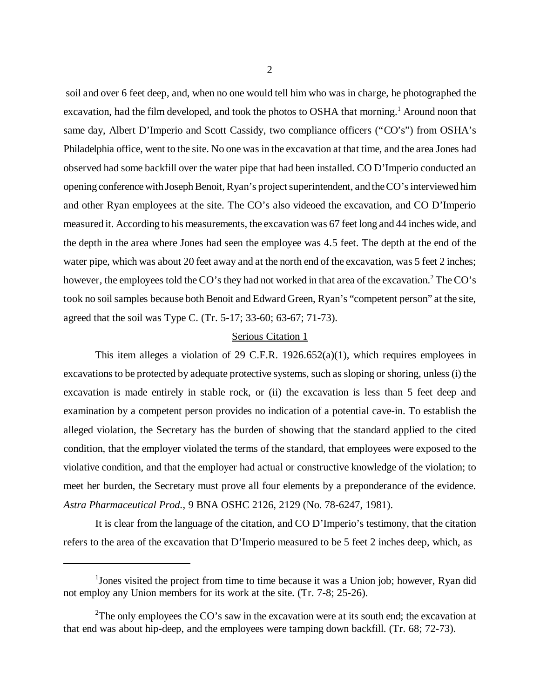soil and over 6 feet deep, and, when no one would tell him who was in charge, he photographed the excavation, had the film developed, and took the photos to OSHA that morning.<sup>1</sup> Around noon that same day, Albert D'Imperio and Scott Cassidy, two compliance officers ("CO's") from OSHA's Philadelphia office, went to the site. No one was in the excavation at that time, and the area Jones had observed had some backfill over the water pipe that had been installed. CO D'Imperio conducted an opening conference with Joseph Benoit, Ryan's project superintendent, and the CO's interviewed him and other Ryan employees at the site. The CO's also videoed the excavation, and CO D'Imperio measured it. According to his measurements, the excavation was 67 feet long and 44 inches wide, and the depth in the area where Jones had seen the employee was 4.5 feet. The depth at the end of the water pipe, which was about 20 feet away and at the north end of the excavation, was 5 feet 2 inches; however, the employees told the CO's they had not worked in that area of the excavation.<sup>2</sup> The CO's took no soil samples because both Benoit and Edward Green, Ryan's "competent person" at the site, agreed that the soil was Type C. (Tr. 5-17; 33-60; 63-67; 71-73).

### Serious Citation 1

This item alleges a violation of 29 C.F.R.  $1926.652(a)(1)$ , which requires employees in excavations to be protected by adequate protective systems, such as sloping or shoring, unless (i) the excavation is made entirely in stable rock, or (ii) the excavation is less than 5 feet deep and examination by a competent person provides no indication of a potential cave-in. To establish the alleged violation, the Secretary has the burden of showing that the standard applied to the cited condition, that the employer violated the terms of the standard, that employees were exposed to the violative condition, and that the employer had actual or constructive knowledge of the violation; to meet her burden, the Secretary must prove all four elements by a preponderance of the evidence. *Astra Pharmaceutical Prod.*, 9 BNA OSHC 2126, 2129 (No. 78-6247, 1981).

It is clear from the language of the citation, and CO D'Imperio's testimony, that the citation refers to the area of the excavation that D'Imperio measured to be 5 feet 2 inches deep, which, as

<sup>&</sup>lt;sup>1</sup>Jones visited the project from time to time because it was a Union job; however, Ryan did not employ any Union members for its work at the site. (Tr. 7-8; 25-26).

<sup>&</sup>lt;sup>2</sup>The only employees the CO's saw in the excavation were at its south end; the excavation at that end was about hip-deep, and the employees were tamping down backfill. (Tr. 68; 72-73).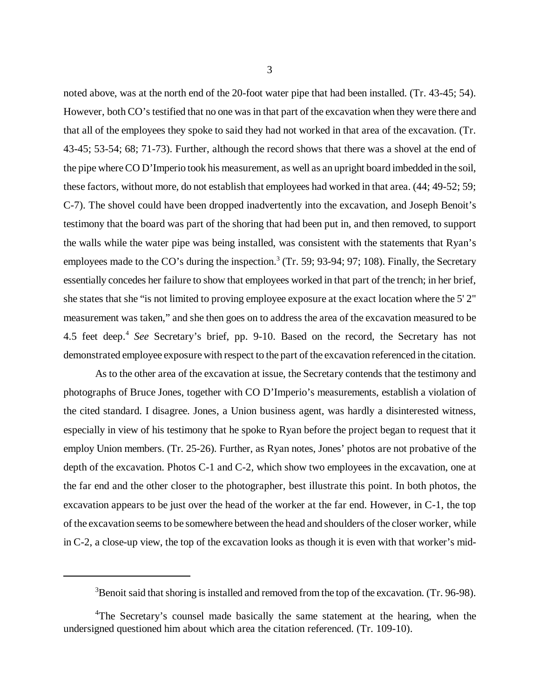noted above, was at the north end of the 20-foot water pipe that had been installed. (Tr. 43-45; 54). However, both CO's testified that no one was in that part of the excavation when they were there and that all of the employees they spoke to said they had not worked in that area of the excavation. (Tr. 43-45; 53-54; 68; 71-73). Further, although the record shows that there was a shovel at the end of the pipe where CO D'Imperio took his measurement, as well as an upright board imbedded in the soil, these factors, without more, do not establish that employees had worked in that area. (44; 49-52; 59; C-7). The shovel could have been dropped inadvertently into the excavation, and Joseph Benoit's testimony that the board was part of the shoring that had been put in, and then removed, to support the walls while the water pipe was being installed, was consistent with the statements that Ryan's employees made to the CO's during the inspection.<sup>3</sup> (Tr. 59; 93-94; 97; 108). Finally, the Secretary essentially concedes her failure to show that employees worked in that part of the trench; in her brief, she states that she "is not limited to proving employee exposure at the exact location where the 5' 2" measurement was taken," and she then goes on to address the area of the excavation measured to be 4.5 feet deep.<sup>4</sup> See Secretary's brief, pp. 9-10. Based on the record, the Secretary has not demonstrated employee exposure with respect to the part of the excavation referenced in the citation.

As to the other area of the excavation at issue, the Secretary contends that the testimony and photographs of Bruce Jones, together with CO D'Imperio's measurements, establish a violation of the cited standard. I disagree. Jones, a Union business agent, was hardly a disinterested witness, especially in view of his testimony that he spoke to Ryan before the project began to request that it employ Union members. (Tr. 25-26). Further, as Ryan notes, Jones' photos are not probative of the depth of the excavation. Photos C-1 and C-2, which show two employees in the excavation, one at the far end and the other closer to the photographer, best illustrate this point. In both photos, the excavation appears to be just over the head of the worker at the far end. However, in C-1, the top of the excavation seems to be somewhere between the head and shoulders of the closer worker, while in C-2, a close-up view, the top of the excavation looks as though it is even with that worker's mid-

 $3B$ enoit said that shoring is installed and removed from the top of the excavation. (Tr. 96-98).

<sup>&</sup>lt;sup>4</sup>The Secretary's counsel made basically the same statement at the hearing, when the undersigned questioned him about which area the citation referenced. (Tr. 109-10).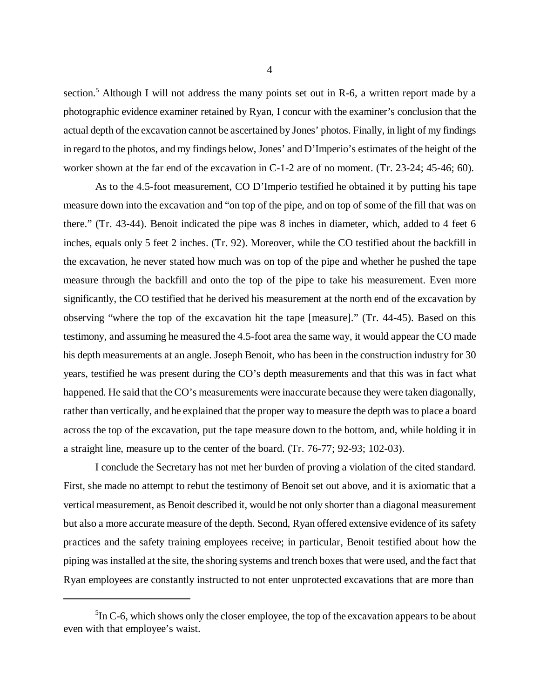section.<sup>5</sup> Although I will not address the many points set out in R-6, a written report made by a photographic evidence examiner retained by Ryan, I concur with the examiner's conclusion that the actual depth of the excavation cannot be ascertained by Jones' photos. Finally, in light of my findings in regard to the photos, and my findings below, Jones' and D'Imperio's estimates of the height of the worker shown at the far end of the excavation in C-1-2 are of no moment. (Tr. 23-24; 45-46; 60).

As to the 4.5-foot measurement, CO D'Imperio testified he obtained it by putting his tape measure down into the excavation and "on top of the pipe, and on top of some of the fill that was on there." (Tr. 43-44). Benoit indicated the pipe was 8 inches in diameter, which, added to 4 feet 6 inches, equals only 5 feet 2 inches. (Tr. 92). Moreover, while the CO testified about the backfill in the excavation, he never stated how much was on top of the pipe and whether he pushed the tape measure through the backfill and onto the top of the pipe to take his measurement. Even more significantly, the CO testified that he derived his measurement at the north end of the excavation by observing "where the top of the excavation hit the tape [measure]." (Tr. 44-45). Based on this testimony, and assuming he measured the 4.5-foot area the same way, it would appear the CO made his depth measurements at an angle. Joseph Benoit, who has been in the construction industry for 30 years, testified he was present during the CO's depth measurements and that this was in fact what happened. He said that the CO's measurements were inaccurate because they were taken diagonally, rather than vertically, and he explained that the proper way to measure the depth was to place a board across the top of the excavation, put the tape measure down to the bottom, and, while holding it in a straight line, measure up to the center of the board. (Tr. 76-77; 92-93; 102-03).

I conclude the Secretary has not met her burden of proving a violation of the cited standard. First, she made no attempt to rebut the testimony of Benoit set out above, and it is axiomatic that a vertical measurement, as Benoit described it, would be not only shorter than a diagonal measurement but also a more accurate measure of the depth. Second, Ryan offered extensive evidence of its safety practices and the safety training employees receive; in particular, Benoit testified about how the piping was installed at the site, the shoring systems and trench boxes that were used, and the fact that Ryan employees are constantly instructed to not enter unprotected excavations that are more than

 ${}^{5}$ In C-6, which shows only the closer employee, the top of the excavation appears to be about even with that employee's waist.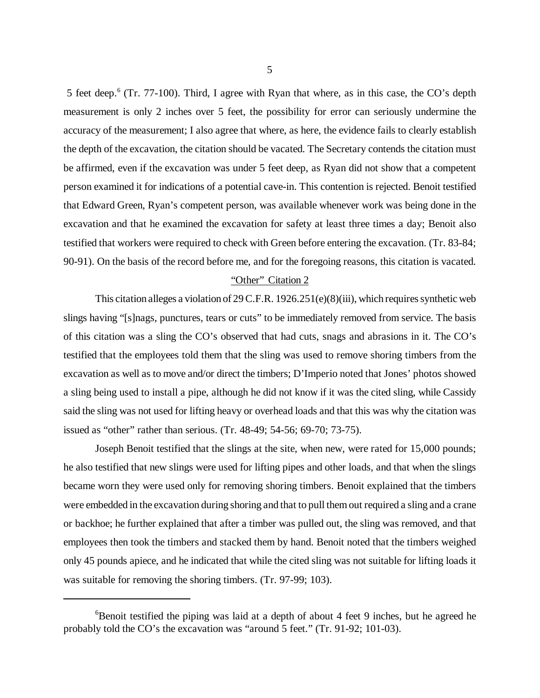5 feet deep.<sup>6</sup> (Tr. 77-100). Third, I agree with Ryan that where, as in this case, the CO's depth measurement is only 2 inches over 5 feet, the possibility for error can seriously undermine the accuracy of the measurement; I also agree that where, as here, the evidence fails to clearly establish the depth of the excavation, the citation should be vacated. The Secretary contends the citation must be affirmed, even if the excavation was under 5 feet deep, as Ryan did not show that a competent person examined it for indications of a potential cave-in. This contention is rejected. Benoit testified that Edward Green, Ryan's competent person, was available whenever work was being done in the excavation and that he examined the excavation for safety at least three times a day; Benoit also testified that workers were required to check with Green before entering the excavation. (Tr. 83-84; 90-91). On the basis of the record before me, and for the foregoing reasons, this citation is vacated.

#### "Other" Citation 2

This citation alleges a violation of 29 C.F.R. 1926.251(e)(8)(iii), which requires synthetic web slings having "[s]nags, punctures, tears or cuts" to be immediately removed from service. The basis of this citation was a sling the CO's observed that had cuts, snags and abrasions in it. The CO's testified that the employees told them that the sling was used to remove shoring timbers from the excavation as well as to move and/or direct the timbers; D'Imperio noted that Jones' photos showed a sling being used to install a pipe, although he did not know if it was the cited sling, while Cassidy said the sling was not used for lifting heavy or overhead loads and that this was why the citation was issued as "other" rather than serious. (Tr. 48-49; 54-56; 69-70; 73-75).

Joseph Benoit testified that the slings at the site, when new, were rated for 15,000 pounds; he also testified that new slings were used for lifting pipes and other loads, and that when the slings became worn they were used only for removing shoring timbers. Benoit explained that the timbers were embedded in the excavation during shoring and that to pull them out required a sling and a crane or backhoe; he further explained that after a timber was pulled out, the sling was removed, and that employees then took the timbers and stacked them by hand. Benoit noted that the timbers weighed only 45 pounds apiece, and he indicated that while the cited sling was not suitable for lifting loads it was suitable for removing the shoring timbers. (Tr. 97-99; 103).

 ${}^{6}$ Benoit testified the piping was laid at a depth of about 4 feet 9 inches, but he agreed he probably told the CO's the excavation was "around 5 feet." (Tr. 91-92; 101-03).